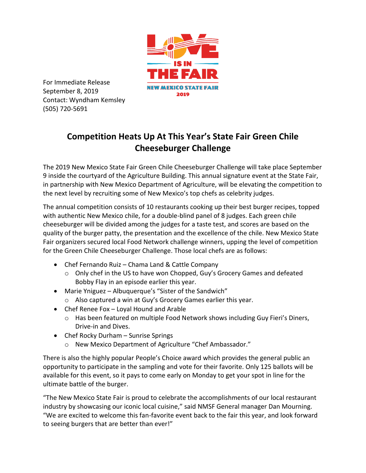

For Immediate Release September 8, 2019 Contact: Wyndham Kemsley (505) 720-5691

## **Competition Heats Up At This Year's State Fair Green Chile Cheeseburger Challenge**

The 2019 New Mexico State Fair Green Chile Cheeseburger Challenge will take place September 9 inside the courtyard of the Agriculture Building. This annual signature event at the State Fair, in partnership with New Mexico Department of Agriculture, will be elevating the competition to the next level by recruiting some of New Mexico's top chefs as celebrity judges.

The annual competition consists of 10 restaurants cooking up their best burger recipes, topped with authentic New Mexico chile, for a double-blind panel of 8 judges. Each green chile cheeseburger will be divided among the judges for a taste test, and scores are based on the quality of the burger patty, the presentation and the excellence of the chile. New Mexico State Fair organizers secured local Food Network challenge winners, upping the level of competition for the Green Chile Cheeseburger Challenge. Those local chefs are as follows:

- Chef Fernando Ruiz Chama Land & Cattle Company
	- o Only chef in the US to have won Chopped, Guy's Grocery Games and defeated Bobby Flay in an episode earlier this year.
- Marie Yniguez Albuquerque's "Sister of the Sandwich"
	- o Also captured a win at Guy's Grocery Games earlier this year.
- Chef Renee Fox Loyal Hound and Arable
	- o Has been featured on multiple Food Network shows including Guy Fieri's Diners, Drive-in and Dives.
- Chef Rocky Durham Sunrise Springs
	- o New Mexico Department of Agriculture "Chef Ambassador."

There is also the highly popular People's Choice award which provides the general public an opportunity to participate in the sampling and vote for their favorite. Only 125 ballots will be available for this event, so it pays to come early on Monday to get your spot in line for the ultimate battle of the burger.

"The New Mexico State Fair is proud to celebrate the accomplishments of our local restaurant industry by showcasing our iconic local cuisine," said NMSF General manager Dan Mourning. "We are excited to welcome this fan-favorite event back to the fair this year, and look forward to seeing burgers that are better than ever!"